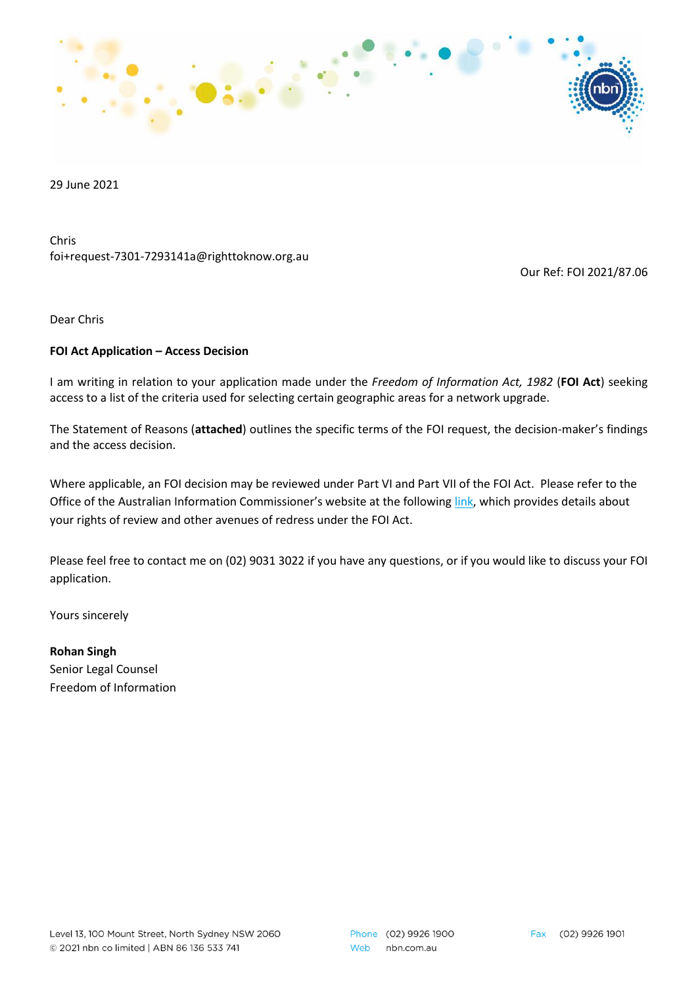

29 June 2021

Chris foi+request-7301-7293141a@righttoknow.org.au

Our Ref: FOI 2021/87.06

Dear Chris

### **FOI Act Application – Access Decision**

I am writing in relation to your application made under the *Freedom of Information Act, 1982* (**FOI Act**) seeking access to a list of the criteria used for selecting certain geographic areas for a network upgrade.

The Statement of Reasons (**attached**) outlines the specific terms of the FOI request, the decision-maker's findings and the access decision.

Where applicable, an FOI decision may be reviewed under Part VI and Part VII of the FOI Act. Please refer to the Office of the Australian Information Commissioner's website at the following [link,](https://www.oaic.gov.au/freedom-of-information/reviews-and-complaints/) which provides details about your rights of review and other avenues of redress under the FOI Act.

Please feel free to contact me on (02) 9031 3022 if you have any questions, or if you would like to discuss your FOI application.

Yours sincerely

**Rohan Singh** Senior Legal Counsel Freedom of Information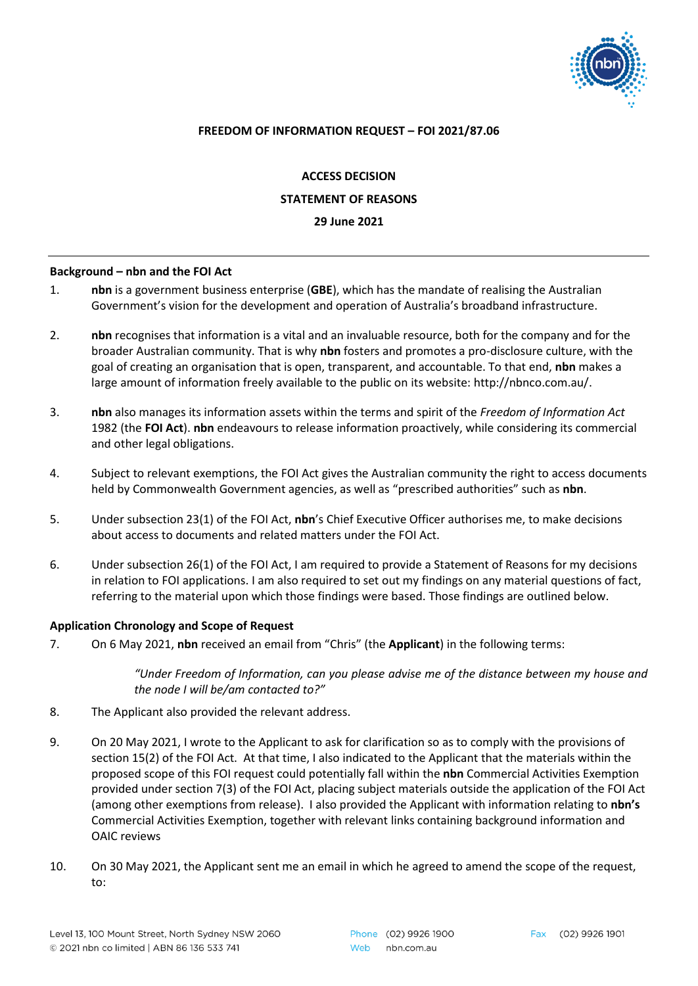

## **FREEDOM OF INFORMATION REQUEST – FOI 2021/87.06**

**ACCESS DECISION**

**STATEMENT OF REASONS**

**29 June 2021**

#### **Background – nbn and the FOI Act**

- 1. **nbn** is a government business enterprise (**GBE**), which has the mandate of realising the Australian Government's vision for the development and operation of Australia's broadband infrastructure.
- 2. **nbn** recognises that information is a vital and an invaluable resource, both for the company and for the broader Australian community. That is why **nbn** fosters and promotes a pro-disclosure culture, with the goal of creating an organisation that is open, transparent, and accountable. To that end, **nbn** makes a large amount of information freely available to the public on its website: [http://nbnco.com.au/.](http://nbnco.com.au/)
- 3. **nbn** also manages its information assets within the terms and spirit of the *Freedom of Information Act* 1982 (the **FOI Act**). **nbn** endeavours to release information proactively, while considering its commercial and other legal obligations.
- 4. Subject to relevant exemptions, the FOI Act gives the Australian community the right to access documents held by Commonwealth Government agencies, as well as "prescribed authorities" such as **nbn**.
- 5. Under subsection 23(1) of the FOI Act, **nbn**'s Chief Executive Officer authorises me, to make decisions about access to documents and related matters under the FOI Act.
- 6. Under subsection 26(1) of the FOI Act, I am required to provide a Statement of Reasons for my decisions in relation to FOI applications. I am also required to set out my findings on any material questions of fact, referring to the material upon which those findings were based. Those findings are outlined below.

#### **Application Chronology and Scope of Request**

7. On 6 May 2021, **nbn** received an email from "Chris" (the **Applicant**) in the following terms:

*"Under Freedom of Information, can you please advise me of the distance between my house and the node I will be/am contacted to?"*

- 8. The Applicant also provided the relevant address.
- 9. On 20 May 2021, I wrote to the Applicant to ask for clarification so as to comply with the provisions of section 15(2) of the FOI Act. At that time, I also indicated to the Applicant that the materials within the proposed scope of this FOI request could potentially fall within the **nbn** Commercial Activities Exemption provided under section 7(3) of the FOI Act, placing subject materials outside the application of the FOI Act (among other exemptions from release). I also provided the Applicant with information relating to **nbn's**  Commercial Activities Exemption, together with relevant links containing background information and OAIC reviews
- 10. On 30 May 2021, the Applicant sent me an email in which he agreed to amend the scope of the request, to: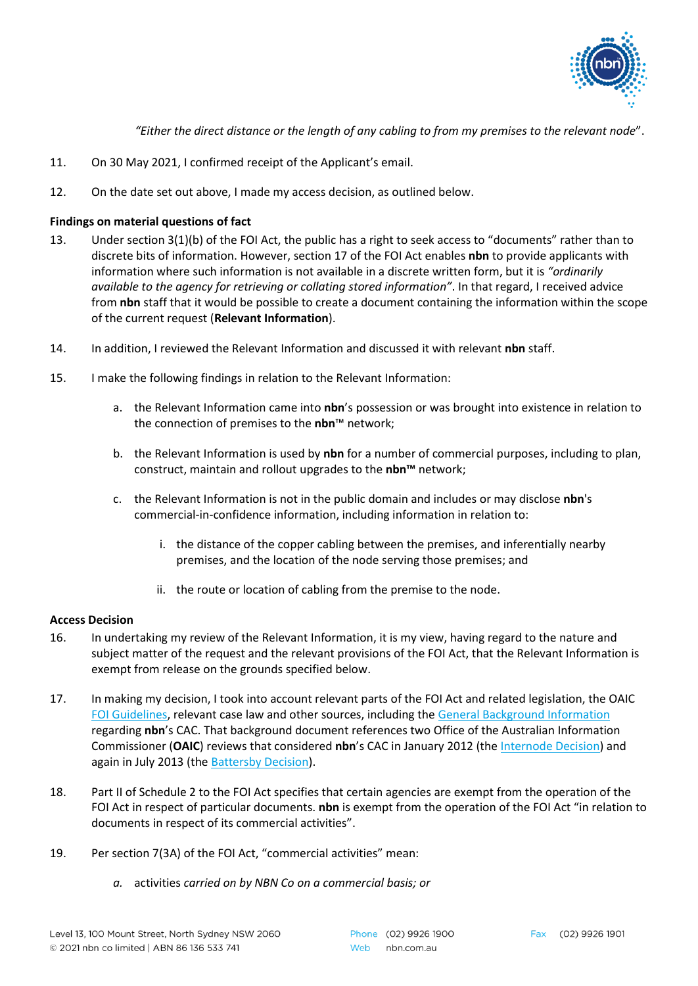

*"Either the direct distance or the length of any cabling to from my premises to the relevant node*".

- 11. On 30 May 2021, I confirmed receipt of the Applicant's email.
- 12. On the date set out above, I made my access decision, as outlined below.

# **Findings on material questions of fact**

- 13. Under section 3(1)(b) of the FOI Act, the public has a right to seek access to "documents" rather than to discrete bits of information. However, section 17 of the FOI Act enables **nbn** to provide applicants with information where such information is not available in a discrete written form, but it is *"ordinarily available to the agency for retrieving or collating stored information"*. In that regard, I received advice from **nbn** staff that it would be possible to create a document containing the information within the scope of the current request (**Relevant Information**).
- 14. In addition, I reviewed the Relevant Information and discussed it with relevant **nbn** staff.
- 15. I make the following findings in relation to the Relevant Information:
	- a. the Relevant Information came into **nbn**'s possession or was brought into existence in relation to the connection of premises to the **nbn**™ network;
	- b. the Relevant Information is used by **nbn** for a number of commercial purposes, including to plan, construct, maintain and rollout upgrades to the **nbn™** network;
	- c. the Relevant Information is not in the public domain and includes or may disclose **nbn**'s commercial-in-confidence information, including information in relation to:
		- i. the distance of the copper cabling between the premises, and inferentially nearby premises, and the location of the node serving those premises; and
		- ii. the route or location of cabling from the premise to the node.

## **Access Decision**

- 16. In undertaking my review of the Relevant Information, it is my view, having regard to the nature and subject matter of the request and the relevant provisions of the FOI Act, that the Relevant Information is exempt from release on the grounds specified below.
- 17. In making my decision, I took into account relevant parts of the FOI Act and related legislation, the OAIC [FOI Guidelines,](https://www.oaic.gov.au/assets/freedom-of-information/guidance-and-advice/foi-guidelines/foi-guidelines-combined-november-2019.pdf) relevant case law and other sources, including the [General Background Information](https://www.nbnco.com.au/content/dam/nbnco2/2019/documents/policies/nbn-CAC-Background%20Document.pdf) regarding **nbn**'s CAC. That background document references two Office of the Australian Information Commissioner (**OAIC**) reviews that considered **nbn**'s CAC in January 2012 (the [Internode Decision\)](http://www.austlii.edu.au/cgi-bin/viewdoc/au/cases/cth/AICmr/2012/4.html?context=0;query=internode;mask_path=) and again in July 2013 (the [Battersby Decision\)](http://www.austlii.edu.au/cgi-bin/viewdoc/au/cases/cth/AICmr/2013/61.html?context=0;query=nbn%20battersby;mask_path=).
- 18. Part II of Schedule 2 to the FOI Act specifies that certain agencies are exempt from the operation of the FOI Act in respect of particular documents. **nbn** is exempt from the operation of the FOI Act "in relation to documents in respect of its commercial activities".
- 19. Per section 7(3A) of the FOI Act, "commercial activities" mean:
	- *a.* activities *carried on by NBN Co on a commercial basis; or*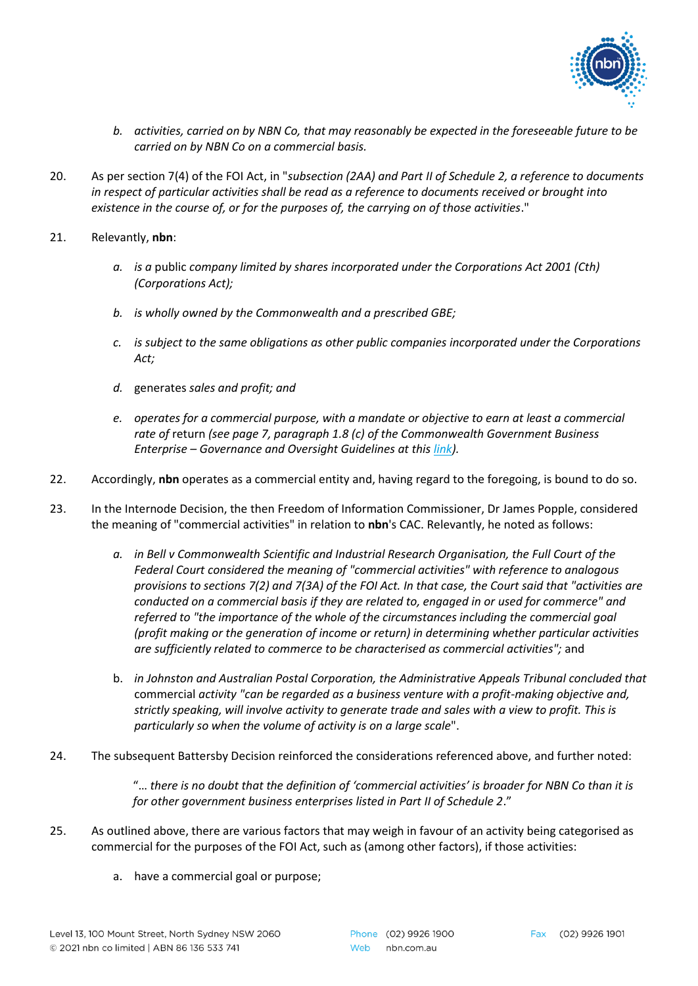

- *b. activities, carried on by NBN Co, that may reasonably be expected in the foreseeable future to be carried on by NBN Co on a commercial basis.*
- 20. As per section 7(4) of the FOI Act, in "*subsection (2AA) and Part II of Schedule 2, a reference to documents in respect of particular activities shall be read as a reference to documents received or brought into existence in the course of, or for the purposes of, the carrying on of those activities*."
- 21. Relevantly, **nbn**:
	- *a. is a* public *company limited by shares incorporated under the Corporations Act 2001 (Cth) (Corporations Act);*
	- *b. is wholly owned by the Commonwealth and a prescribed GBE;*
	- *c. is subject to the same obligations as other public companies incorporated under the Corporations Act;*
	- *d.* generates *sales and profit; and*
	- *e. operates for a commercial purpose, with a mandate or objective to earn at least a commercial rate of* return *(see page 7, paragraph 1.8 (c) of the Commonwealth Government Business Enterprise – Governance and Oversight Guidelines at this [link\)](https://www.finance.gov.au/sites/default/files/2019-10/commonwealth-gbe-governance-and-oversight-guidelines-rmg126.pdf).*
- 22. Accordingly, **nbn** operates as a commercial entity and, having regard to the foregoing, is bound to do so.
- 23. In the Internode Decision, the then Freedom of Information Commissioner, Dr James Popple, considered the meaning of "commercial activities" in relation to **nbn**'s CAC. Relevantly, he noted as follows:
	- *a. in Bell v Commonwealth Scientific and Industrial Research Organisation, the Full Court of the Federal Court considered the meaning of "commercial activities" with reference to analogous provisions to sections 7(2) and 7(3A) of the FOI Act. In that case, the Court said that "activities are conducted on a commercial basis if they are related to, engaged in or used for commerce" and referred to "the importance of the whole of the circumstances including the commercial goal (profit making or the generation of income or return) in determining whether particular activities are sufficiently related to commerce to be characterised as commercial activities";* and
	- b. *in Johnston and Australian Postal Corporation, the Administrative Appeals Tribunal concluded that*  commercial *activity "can be regarded as a business venture with a profit-making objective and, strictly speaking, will involve activity to generate trade and sales with a view to profit. This is particularly so when the volume of activity is on a large scale*".
- 24. The subsequent Battersby Decision reinforced the considerations referenced above, and further noted:

"… *there is no doubt that the definition of 'commercial activities' is broader for NBN Co than it is for other government business enterprises listed in Part II of Schedule 2*."

- 25. As outlined above, there are various factors that may weigh in favour of an activity being categorised as commercial for the purposes of the FOI Act, such as (among other factors), if those activities:
	- a. have a commercial goal or purpose;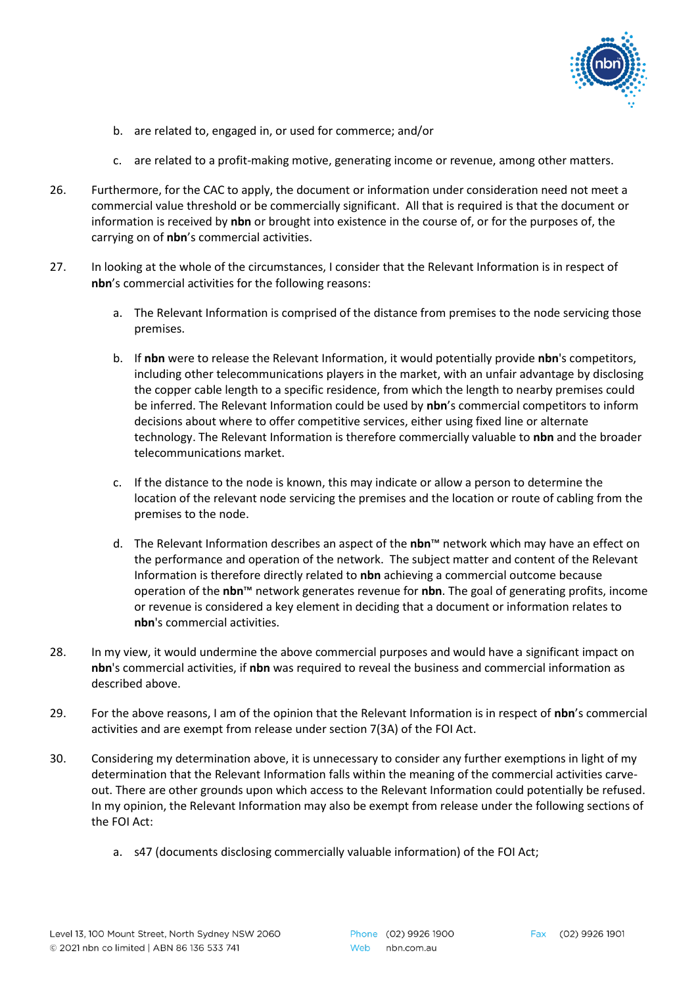

- b. are related to, engaged in, or used for commerce; and/or
- c. are related to a profit-making motive, generating income or revenue, among other matters.
- 26. Furthermore, for the CAC to apply, the document or information under consideration need not meet a commercial value threshold or be commercially significant. All that is required is that the document or information is received by **nbn** or brought into existence in the course of, or for the purposes of, the carrying on of **nbn**'s commercial activities.
- 27. In looking at the whole of the circumstances, I consider that the Relevant Information is in respect of **nbn**'s commercial activities for the following reasons:
	- a. The Relevant Information is comprised of the distance from premises to the node servicing those premises.
	- b. If **nbn** were to release the Relevant Information, it would potentially provide **nbn**'s competitors, including other telecommunications players in the market, with an unfair advantage by disclosing the copper cable length to a specific residence, from which the length to nearby premises could be inferred. The Relevant Information could be used by **nbn**'s commercial competitors to inform decisions about where to offer competitive services, either using fixed line or alternate technology. The Relevant Information is therefore commercially valuable to **nbn** and the broader telecommunications market.
	- c. If the distance to the node is known, this may indicate or allow a person to determine the location of the relevant node servicing the premises and the location or route of cabling from the premises to the node.
	- d. The Relevant Information describes an aspect of the **nbn**™ network which may have an effect on the performance and operation of the network. The subject matter and content of the Relevant Information is therefore directly related to **nbn** achieving a commercial outcome because operation of the **nbn**™ network generates revenue for **nbn**. The goal of generating profits, income or revenue is considered a key element in deciding that a document or information relates to **nbn**'s commercial activities.
- 28. In my view, it would undermine the above commercial purposes and would have a significant impact on **nbn**'s commercial activities, if **nbn** was required to reveal the business and commercial information as described above.
- 29. For the above reasons, I am of the opinion that the Relevant Information is in respect of **nbn**'s commercial activities and are exempt from release under section 7(3A) of the FOI Act.
- 30. Considering my determination above, it is unnecessary to consider any further exemptions in light of my determination that the Relevant Information falls within the meaning of the commercial activities carveout. There are other grounds upon which access to the Relevant Information could potentially be refused. In my opinion, the Relevant Information may also be exempt from release under the following sections of the FOI Act:
	- a. s47 (documents disclosing commercially valuable information) of the FOI Act;